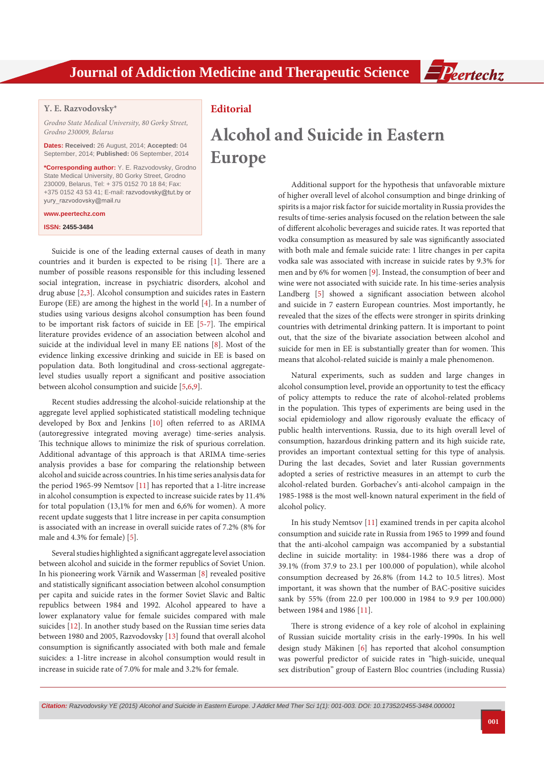

## **Y. E. Razvodovsky\***

*Grodno State Medical University, 80 Gorky Street, Grodno 230009, Belarus*

**Dates: Received:** 26 August, 2014; **Accepted:** 04 September, 2014; **Published:** 06 September, 2014

**\*Corresponding author:** Y. E. Razvodovsky, Grodno State Medical University, 80 Gorky Street, Grodno 230009, Belarus, Tel: + 375 0152 70 18 84; Fax: +375 0152 43 53 41; E-mail: razvodovsky@tut.by or yury\_razvodovsky@mail.ru

### **www.peertechz.com**

#### **ISSN: 2455-3484**

Suicide is one of the leading external causes of death in many countries and it burden is expected to be rising [[1\]](#page-1-4). There are a number of possible reasons responsible for this including lessened social integration, increase in psychiatric disorders, alcohol and drug abuse [[2](#page-1-5)[,3](#page-1-6)]. Alcohol consumption and suicides rates in Eastern Europe (EE) are among the highest in the world [\[4\]](#page-1-7). In a number of studies using various designs alcohol consumption has been found to be important risk factors of suicide in EE [[5](#page-1-1)[-7\]](#page-1-8). The empirical literature provides evidence of an association between alcohol and suicide at the individual level in many EE nations [[8\]](#page-1-9). Most of the evidence linking excessive drinking and suicide in EE is based on population data. Both longitudinal and cross-sectional aggregatelevel studies usually report a significant and positive association between alcohol consumption and suicide [\[5](#page-1-1)[,6,](#page-1-3)[9](#page-1-0)].

Recent studies addressing the alcohol-suicide relationship at the aggregate level applied sophisticated statisticall modeling technique developed by Box and Jenkins [[10](#page-1-10)] often referred to as ARIMA (autoregressive integrated moving average) time-series analysis. This technique allows to minimize the risk of spurious correlation. Additional advantage of this approach is that ARIMA time-series analysis provides a base for comparing the relationship between alcohol and suicide across countries. In his time series analysis data for the period 1965-99 Nemtsov [[11](#page-1-2)] has reported that a 1-litre increase in alcohol consumption is expected to increase suicide rates by 11.4% for total population (13,1% for men and 6,6% for women). A more recent update suggests that 1 litre increase in per capita consumption is associated with an increase in overall suicide rates of 7.2% (8% for male and 4.3% for female) [\[5](#page-1-1)].

Several studies highlighted a significant aggregate level association between alcohol and suicide in the former republics of Soviet Union. In his pioneering work Värnik and Wasserman [\[8\]](#page-1-9) revealed positive and statistically significant association between alcohol consumption per capita and suicide rates in the former Soviet Slavic and Baltic republics between 1984 and 1992. Alcohol appeared to have a lower explanatory value for female suicides compared with male suicides [[12](#page-1-11)]. In another study based on the Russian time series data between 1980 and 2005, Razvodovsky [[13](#page-2-0)] found that overall alcohol consumption is significantly associated with both male and female suicides: a 1-litre increase in alcohol consumption would result in increase in suicide rate of 7.0% for male and 3.2% for female.

# **Editorial**

# **Alcohol and Suicide in Eastern Europe**

Additional support for the hypothesis that unfavorable mixture of higher overall level of alcohol consumption and binge drinking of spirits is a major risk factor for suicide mortality in Russia provides the results of time-series analysis focused on the relation between the sale of different alcoholic beverages and suicide rates. It was reported that vodka consumption as measured by sale was significantly associated with both male and female suicide rate: 1 litre changes in per capita vodka sale was associated with increase in suicide rates by 9.3% for men and by 6% for women [[9](#page-1-0)]. Instead, the consumption of beer and wine were not associated with suicide rate. In his time-series analysis Landberg [[5\]](#page-1-1) showed a significant association between alcohol and suicide in 7 eastern European countries. Most importantly, he revealed that the sizes of the effects were stronger in spirits drinking countries with detrimental drinking pattern. It is important to point out, that the size of the bivariate association between alcohol and suicide for men in EE is substantially greater than for women. This means that alcohol-related suicide is mainly a male phenomenon.

Natural experiments, such as sudden and large changes in alcohol consumption level, provide an opportunity to test the efficacy of policy attempts to reduce the rate of alcohol-related problems in the population. This types of experiments are being used in the social epidemiology and allow rigorously evaluate the efficacy of public health interventions. Russia, due to its high overall level of consumption, hazardous drinking pattern and its high suicide rate, provides an important contextual setting for this type of analysis. During the last decades, Soviet and later Russian governments adopted a series of restrictive measures in an attempt to curb the alcohol-related burden. Gorbachev's anti-alcohol campaign in the 1985-1988 is the most well-known natural experiment in the field of alcohol policy.

In his study Nemtsov [\[11\]](#page-1-2) examined trends in per capita alcohol consumption and suicide rate in Russia from 1965 to 1999 and found that the anti-alcohol campaign was accompanied by a substantial decline in suicide mortality: in 1984-1986 there was a drop of 39.1% (from 37.9 to 23.1 per 100.000 of population), while alcohol consumption decreased by 26.8% (from 14.2 to 10.5 litres). Most important, it was shown that the number of BAC-positive suicides sank by 55% (from 22.0 per 100.000 in 1984 to 9.9 per 100.000) between 1984 and 1986 [\[11\]](#page-1-2).

There is strong evidence of a key role of alcohol in explaining of Russian suicide mortality crisis in the early-1990s. In his well design study Mäkinen [[6](#page-1-3)] has reported that alcohol consumption was powerful predictor of suicide rates in "high-suicide, unequal sex distribution" group of Eastern Bloc countries (including Russia)

*Citation: Razvodovsky YE (2015) Alcohol and Suicide in Eastern Europe. J Addict Med Ther Sci 1(1): 001-003. DOI: [10.17352/2455-3484.000001](http://dx.doi.org/10.17352/2455-3484.000001)*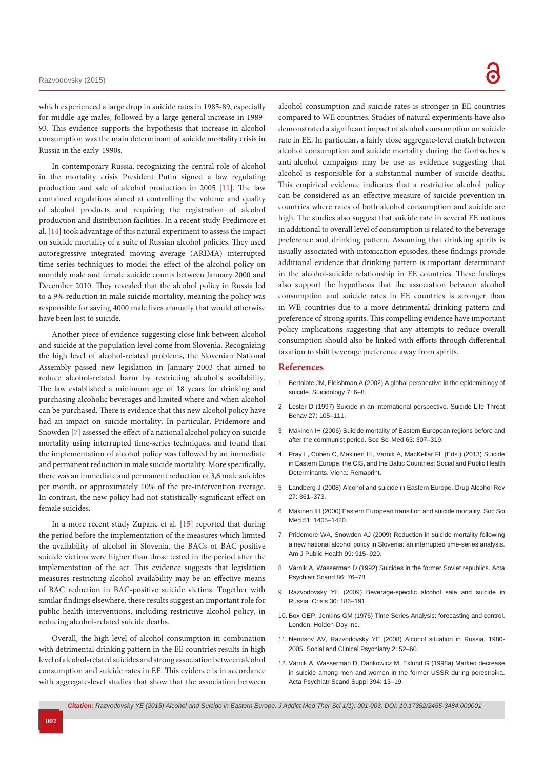which experienced a large drop in suicide rates in 1985-89, especially for middle-age males, followed by a large general increase in 1989- 93. This evidence supports the hypothesis that increase in alcohol consumption was the main determinant of suicide mortality crisis in Russia in the early-1990s.

In contemporary Russia, recognizing the central role of alcohol in the mortality crisis President Putin signed a law regulating production and sale of alcohol production in 2005 [\[11\]](#page-1-2). The law contained regulations aimed at controlling the volume and quality of alcohol products and requiring the registration of alcohol production and distribution facilities. In a recent study Predimore et al. [[14](#page-2-1)] took advantage of this natural experiment to assess the impact on suicide mortality of a suite of Russian alcohol policies. They used autoregressive integrated moving average (ARIMA) interrupted time series techniques to model the effect of the alcohol policy on monthly male and female suicide counts between January 2000 and December 2010. They revealed that the alcohol policy in Russia led to a 9% reduction in male suicide mortality, meaning the policy was responsible for saving 4000 male lives annually that would otherwise have been lost to suicide.

Another piece of evidence suggesting close link between alcohol and suicide at the population level come from Slovenia. Recognizing the high level of alcohol-related problems, the Slovenian National Assembly passed new legislation in January 2003 that aimed to reduce alcohol-related harm by restricting alcohol's availability. The law established a minimum age of 18 years for drinking and purchasing alcoholic beverages and limited where and when alcohol can be purchased. There is evidence that this new alcohol policy have had an impact on suicide mortality. In particular, Pridemore and Snowden [[7](#page-1-8)] assessed the effect of a national alcohol policy on suicide mortality using interrupted time-series techniques, and found that the implementation of alcohol policy was followed by an immediate and permanent reduction in male suicide mortality. More specifically, there was an immediate and permanent reduction of 3,6 male suicides per month, or approximately 10% of the pre-intervention average. In contrast, the new policy had not statistically significant effect on female suicides.

In a more recent study Zupanc et al. [[15\]](#page-2-2) reported that during the period before the implementation of the measures which limited the availability of alcohol in Slovenia, the BACs of BAC-positive suicide victims were higher than those tested in the period after the implementation of the act. This evidence suggests that legislation measures restricting alcohol availability may be an effective means of BAC reduction in BAC-positive suicide victims. Together with similar findings elsewhere, these results suggest an important role for public health interventions, including restrictive alcohol policy, in reducing alcohol-related suicide deaths.

Overall, the high level of alcohol consumption in combination with detrimental drinking pattern in the EE countries results in high level of alcohol-related suicides and strong association between alcohol consumption and suicide rates in EE. This evidence is in accordance with aggregate-level studies that show that the association between

alcohol consumption and suicide rates is stronger in EE countries compared to WE countries. Studies of natural experiments have also demonstrated a significant impact of alcohol consumption on suicide rate in EE. In particular, a fairly close aggregate-level match between alcohol consumption and suicide mortality during the Gorbachev's anti-alcohol campaigns may be use as evidence suggesting that alcohol is responsible for a substantial number of suicide deaths. This empirical evidence indicates that a restrictive alcohol policy can be considered as an effective measure of suicide prevention in countries where rates of both alcohol consumption and suicide are high. The studies also suggest that suicide rate in several EE nations in additional to overall level of consumption is related to the beverage preference and drinking pattern. Assuming that drinking spirits is usually associated with intoxication episodes, these findings provide additional evidence that drinking pattern is important determinant in the alcohol-suicide relationship in EE countries. These findings also support the hypothesis that the association between alcohol consumption and suicide rates in EE countries is stronger than in WE countries due to a more detrimental drinking pattern and preference of strong spirits. This compelling evidence have important policy implications suggesting that any attempts to reduce overall consumption should also be linked with efforts through differential taxation to shift beverage preference away from spirits.

#### **References**

- <span id="page-1-4"></span>1. Bertolote JM, Fleishman A (2002) A global perspective in the epidemiology of suicide. Suicidology 7: 6–8.
- <span id="page-1-5"></span>2. [Lester D \(1997\) Suicide in an international perspective. Suicide Life Threat](http://www.ncbi.nlm.nih.gov/pubmed/9112728)  [Behav 27: 105–111.](http://www.ncbi.nlm.nih.gov/pubmed/9112728)
- <span id="page-1-6"></span>3. [Mäkinen IH \(2006\) Suicide mortality of Eastern European regions before and](http://www.ncbi.nlm.nih.gov/pubmed/16473447)  [after the communist period. Soc Sci Med 63: 307–319.](http://www.ncbi.nlm.nih.gov/pubmed/16473447)
- <span id="page-1-7"></span>4. Pray L, Cohen C, Makinen IH, Varnik A, MacKellar FL (Eds.) (2013) Suicide in Eastern Europe, the CIS, and the Baltic Countries: Social and Public Health Determinants. Viena: Remaprint.
- <span id="page-1-1"></span>5. [Landberg J \(2008\) Alcohol and suicide in Eastern Europe. Drug Alcohol Rev](http://www.ncbi.nlm.nih.gov/pubmed/18584385)  [27: 361–373.](http://www.ncbi.nlm.nih.gov/pubmed/18584385)
- <span id="page-1-3"></span>6. [Mäkinen IH \(2000\) Eastern European transition and suicide mortality. Soc Sci](http://www.ncbi.nlm.nih.gov/pubmed/11037226)  [Med 51: 1405–1420.](http://www.ncbi.nlm.nih.gov/pubmed/11037226)
- <span id="page-1-8"></span>7. [Pridemore WA, Snowden AJ \(2009\) Reduction in suicide mortality following](http://www.ncbi.nlm.nih.gov/pubmed/19299669)  [a new national alcohol policy in Slovenia: an interrupted time-series analysis.](http://www.ncbi.nlm.nih.gov/pubmed/19299669)  [Am J Public Health 99: 915–920.](http://www.ncbi.nlm.nih.gov/pubmed/19299669)
- <span id="page-1-9"></span>8. [Värnik A, Wasserman D \(1992\) Suicides in the former Soviet republics. Acta](http://www.ncbi.nlm.nih.gov/pubmed/1414406)  [Psychiatr Scand 86: 76–78.](http://www.ncbi.nlm.nih.gov/pubmed/1414406)
- <span id="page-1-0"></span>9. Razvodovsky YE (2009) [Beverage-specific](http://www.ncbi.nlm.nih.gov/pubmed/19933064) alcohol sale and suicide in [Russia. Crisis 30: 186–191.](http://www.ncbi.nlm.nih.gov/pubmed/19933064)
- <span id="page-1-10"></span>10. Box GEP, Jenkins GM (1976) Time Series Analysis: forecasting and control. London: Holden-Day Inc.
- <span id="page-1-2"></span>11. Nemtsov AV, Razvodovsky YE (2008) Alcohol situation in Russia, 1980- 2005. Social and Clinical Psychiatry 2: 52–60.
- <span id="page-1-11"></span>12. [Värnik A, Wasserman D, Dankowicz M, Eklund G \(1998a\) Marked decrease](http://www.ncbi.nlm.nih.gov/pubmed/9825013)  [in suicide among men and women in the former USSR during perestroika.](http://www.ncbi.nlm.nih.gov/pubmed/9825013)  [Acta Psychiatr Scand Suppl 394: 13–19.](http://www.ncbi.nlm.nih.gov/pubmed/9825013)